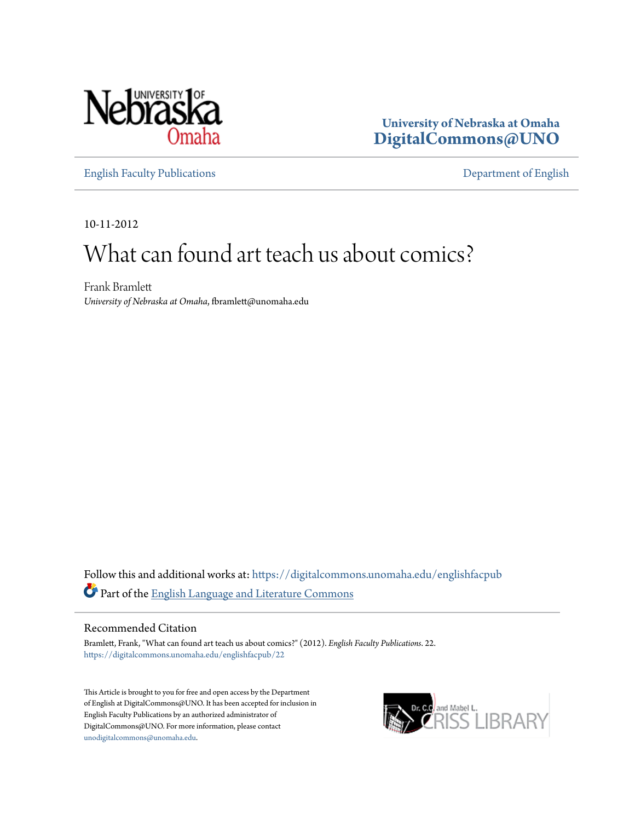

**University of Nebraska at Omaha [DigitalCommons@UNO](https://digitalcommons.unomaha.edu?utm_source=digitalcommons.unomaha.edu%2Fenglishfacpub%2F22&utm_medium=PDF&utm_campaign=PDFCoverPages)**

[English Faculty Publications](https://digitalcommons.unomaha.edu/englishfacpub?utm_source=digitalcommons.unomaha.edu%2Fenglishfacpub%2F22&utm_medium=PDF&utm_campaign=PDFCoverPages) [Department of English](https://digitalcommons.unomaha.edu/english?utm_source=digitalcommons.unomaha.edu%2Fenglishfacpub%2F22&utm_medium=PDF&utm_campaign=PDFCoverPages)

10-11-2012

# What can found art teach us about comics?

Frank Bramlett *University of Nebraska at Omaha*, fbramlett@unomaha.edu

Follow this and additional works at: [https://digitalcommons.unomaha.edu/englishfacpub](https://digitalcommons.unomaha.edu/englishfacpub?utm_source=digitalcommons.unomaha.edu%2Fenglishfacpub%2F22&utm_medium=PDF&utm_campaign=PDFCoverPages) Part of the [English Language and Literature Commons](http://network.bepress.com/hgg/discipline/455?utm_source=digitalcommons.unomaha.edu%2Fenglishfacpub%2F22&utm_medium=PDF&utm_campaign=PDFCoverPages)

#### Recommended Citation

Bramlett, Frank, "What can found art teach us about comics?" (2012). *English Faculty Publications*. 22. [https://digitalcommons.unomaha.edu/englishfacpub/22](https://digitalcommons.unomaha.edu/englishfacpub/22?utm_source=digitalcommons.unomaha.edu%2Fenglishfacpub%2F22&utm_medium=PDF&utm_campaign=PDFCoverPages)

This Article is brought to you for free and open access by the Department of English at DigitalCommons@UNO. It has been accepted for inclusion in English Faculty Publications by an authorized administrator of DigitalCommons@UNO. For more information, please contact [unodigitalcommons@unomaha.edu](mailto:unodigitalcommons@unomaha.edu).

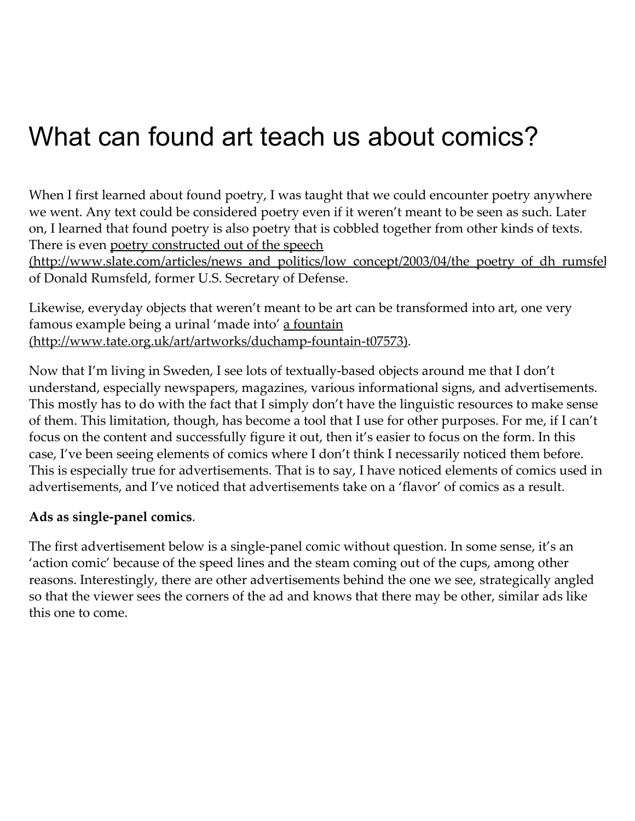When I first learned about found poetry, I was taught that we could encounter poetry anywhere we went. Any text could be considered poetry even if it weren't meant to be seen as such. Later on, I learned that found poetry is also poetry that is cobbled together from other kinds of texts. There is even poetry constructed out of the speech

[\(http://www.slate.com/articles/news\\_and\\_politics/low\\_concept/2003/04/the\\_poetry\\_of\\_dh\\_rumsfel](http://www.slate.com/articles/news_and_politics/low_concept/2003/04/the_poetry_of_dh_rumsfeld.html) of Donald Rumsfeld, former U.S. Secretary of Defense.

Likewise, everyday objects that weren't meant to be art can be transformed into art, one very famous example being a urinal 'made into' a fountain [\(http://www.tate.org.uk/art/artworks/duchamp‑fountain‑t07573\).](http://www.tate.org.uk/art/artworks/duchamp-fountain-t07573)

Now that I'm living in Sweden, I see lots of textually‑based objects around me that I don't understand, especially newspapers, magazines, various informational signs, and advertisements. This mostly has to do with the fact that I simply don't have the linguistic resources to make sense of them. This limitation, though, has become a tool that I use for other purposes. For me, if I can't focus on the content and successfully figure it out, then it's easier to focus on the form. In this case, I've been seeing elements of comics where I don't think I necessarily noticed them before. This is especially true for advertisements. That is to say, I have noticed elements of comics used in advertisements, and I've noticed that advertisements take on a 'flavor' of comics as a result.

### Ads as single-panel comics.

The first advertisement below is a single-panel comic without question. In some sense, it's an 'action comic' because of the speed lines and the steam coming out of the cups, among other reasons. Interestingly, there are other advertisements behind the one we see, strategically angled so that the viewer sees the corners of the ad and knows that there may be other, similar ads like this one to come.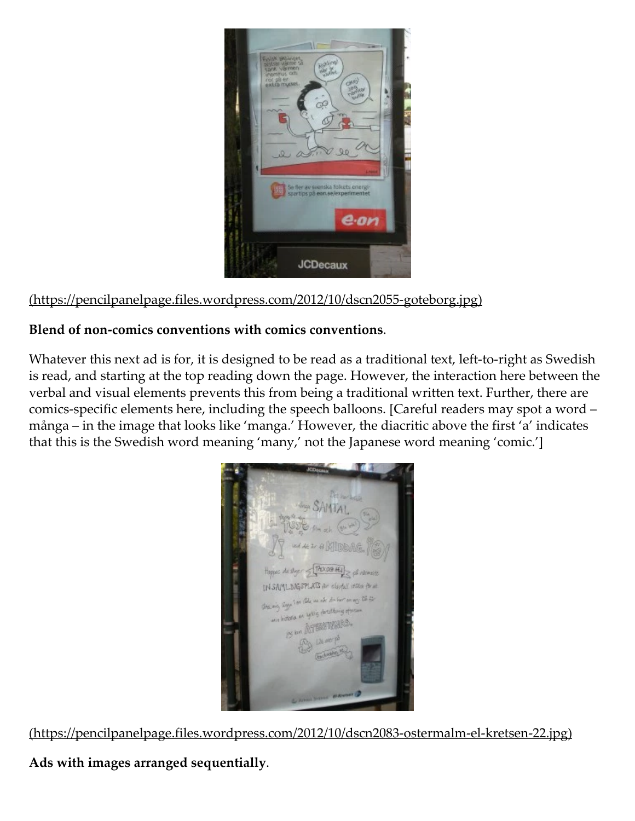

(https://pencilpanelpage.files.wordpress.com/2012/10/dscn2055‑goteborg.jpg)

### Blend of non‑comics conventions with comics conventions.

Whatever this next ad is for, it is designed to be read as a traditional text, left-to-right as Swedish is read, and starting at the top reading down the page. However, the interaction here between the verbal and visual elements prevents this from being a traditional written text. Further, there are comics-specific elements here, including the speech balloons. [Careful readers may spot a word – många – in the image that looks like 'manga.' However, the diacritic above the first 'a' indicates that this is the Swedish word meaning 'many,' not the Japanese word meaning 'comic.']



(https://pencilpanelpage.files.wordpress.com/2012/10/dscn2083‑ostermalm‑el‑kretsen‑22.jpg)

Ads with images arranged sequentially.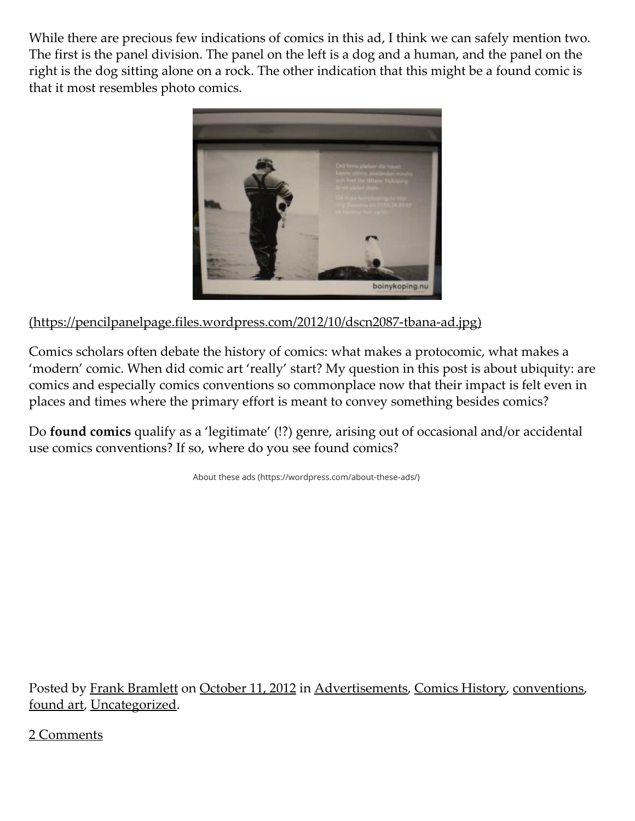While there are precious few indications of comics in this ad, I think we can safely mention two. The first is the panel division. The panel on the left is a dog and a human, and the panel on the right is the dog sitting alone on a rock. The other indication that this might be a found comic is that it most resembles photo comics.



(https://pencilpanelpage.files.wordpress.com/2012/10/dscn2087‑tbana‑ad.jpg)

Comics scholars often debate the history of comics: what makes a protocomic, what makes a 'modern' comic. When did comic art 'really' start? My question in this post is about ubiquity: are comics and especially comics conventions so commonplace now that their impact is felt even in places and times where the primary effort is meant to convey something besides comics?

Do found comics qualify as a 'legitimate' (!?) genre, arising out of occasional and/or accidental use comics conventions? If so, where do you see found comics?

About these ads [\(https://wordpress.com/about-these-ads/\)](https://wordpress.com/about-these-ads/)

Posted by Frank [Bramlett](https://pencilpanelpage.wordpress.com/author/bramling/) on [October](https://pencilpanelpage.wordpress.com/2012/10/11/what-can-found-art-teach-us-about-comics/) 11, 2012 in [Advertisements,](https://pencilpanelpage.wordpress.com/category/advertisements/) Comics [History,](https://pencilpanelpage.wordpress.com/category/comics-history/) [conventions,](https://pencilpanelpage.wordpress.com/category/conventions/) [found](https://pencilpanelpage.wordpress.com/category/found-art/) art, [Uncategorized](https://pencilpanelpage.wordpress.com/category/uncategorized/).

2 Comments